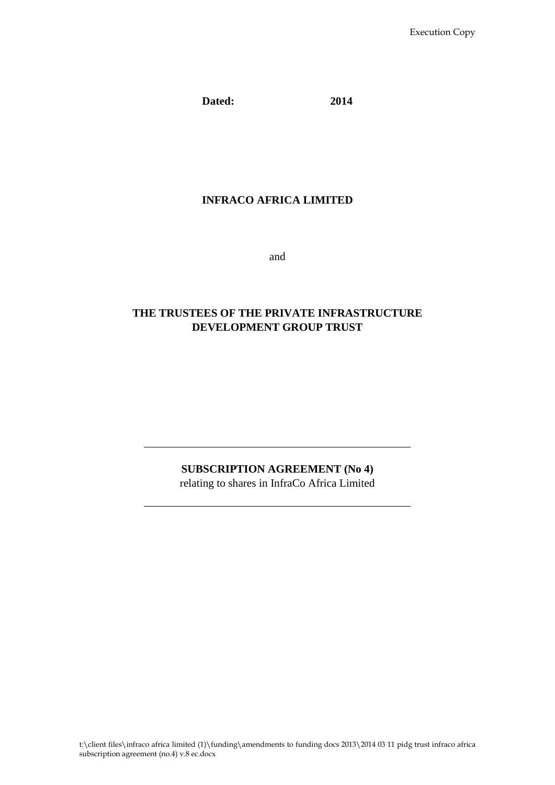**Dated: 2014**

# **INFRACO AFRICA LIMITED**

and

# **THE TRUSTEES OF THE PRIVATE INFRASTRUCTURE DEVELOPMENT GROUP TRUST**

# **SUBSCRIPTION AGREEMENT (No 4)**

relating to shares in InfraCo Africa Limited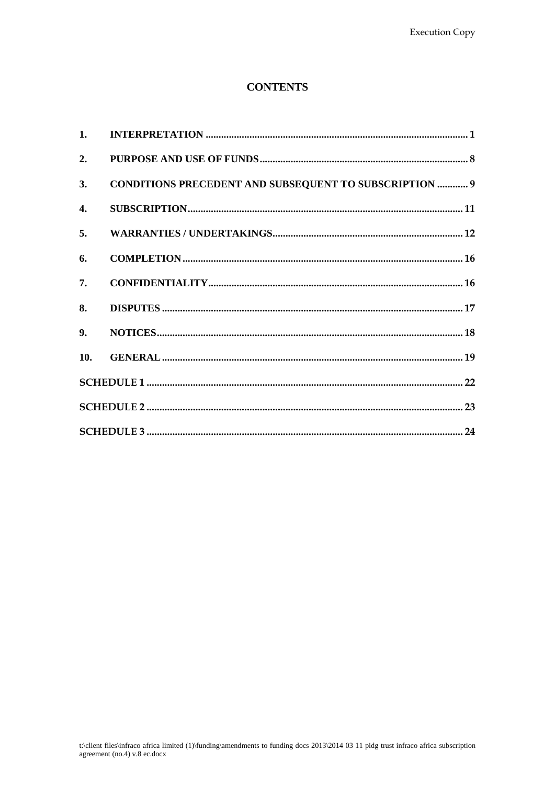# **CONTENTS**

| 2. |                                                               |  |
|----|---------------------------------------------------------------|--|
| 3. | <b>CONDITIONS PRECEDENT AND SUBSEQUENT TO SUBSCRIPTION  9</b> |  |
| 4. |                                                               |  |
| 5. |                                                               |  |
| 6. |                                                               |  |
| 7. |                                                               |  |
| 8. |                                                               |  |
|    |                                                               |  |
|    |                                                               |  |
|    |                                                               |  |
|    |                                                               |  |
|    |                                                               |  |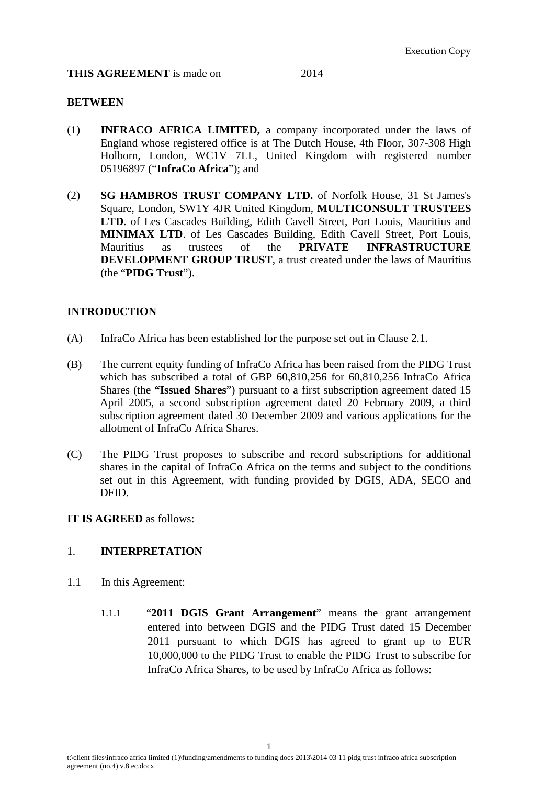#### **THIS AGREEMENT** is made on 2014

#### **BETWEEN**

- (1) **INFRACO AFRICA LIMITED,** a company incorporated under the laws of England whose registered office is at The Dutch House, 4th Floor, 307-308 High Holborn, London, WC1V 7LL, United Kingdom with registered number 05196897 ("**InfraCo Africa**"); and
- (2) **SG HAMBROS TRUST COMPANY LTD.** of Norfolk House, 31 St James's Square, London, SW1Y 4JR United Kingdom, **MULTICONSULT TRUSTEES LTD**. of Les Cascades Building, Edith Cavell Street, Port Louis, Mauritius and **MINIMAX LTD**. of Les Cascades Building, Edith Cavell Street, Port Louis, Mauritius as trustees of the **PRIVATE INFRASTRUCTURE** Mauritius as trustees of the **PRIVATE INFRASTRUCTURE DEVELOPMENT GROUP TRUST**, a trust created under the laws of Mauritius (the "**PIDG Trust**").

### **INTRODUCTION**

- (A) InfraCo Africa has been established for the purpose set out in Clause [2.1.](#page-9-1)
- (B) The current equity funding of InfraCo Africa has been raised from the PIDG Trust which has subscribed a total of GBP 60,810,256 for 60,810,256 InfraCo Africa Shares (the **"Issued Shares**") pursuant to a first subscription agreement dated 15 April 2005, a second subscription agreement dated 20 February 2009, a third subscription agreement dated 30 December 2009 and various applications for the allotment of InfraCo Africa Shares.
- (C) The PIDG Trust proposes to subscribe and record subscriptions for additional shares in the capital of InfraCo Africa on the terms and subject to the conditions set out in this Agreement, with funding provided by DGIS, ADA, SECO and DFID.

### **IT IS AGREED** as follows:

### <span id="page-2-0"></span>1. **INTERPRETATION**

- 1.1 In this Agreement:
	- 1.1.1 "**2011 DGIS Grant Arrangement**" means the grant arrangement entered into between DGIS and the PIDG Trust dated 15 December 2011 pursuant to which DGIS has agreed to grant up to EUR 10,000,000 to the PIDG Trust to enable the PIDG Trust to subscribe for InfraCo Africa Shares, to be used by InfraCo Africa as follows: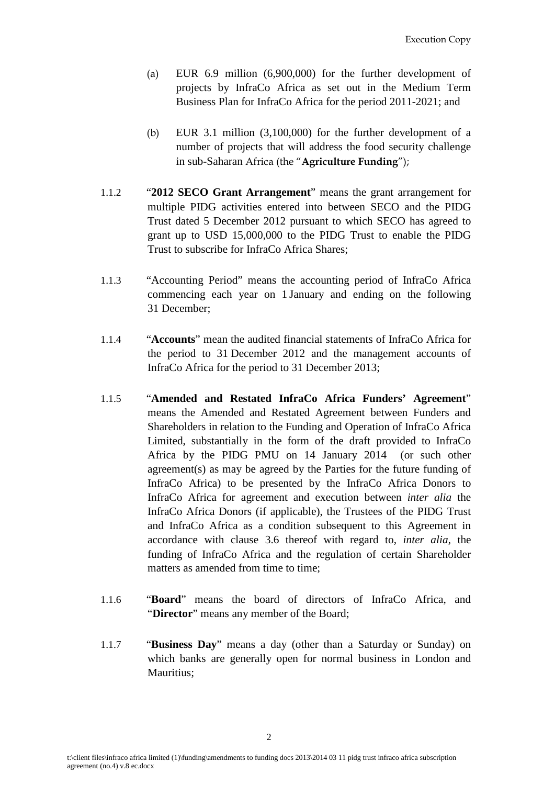- (a) EUR 6.9 million (6,900,000) for the further development of projects by InfraCo Africa as set out in the Medium Term Business Plan for InfraCo Africa for the period 2011-2021; and
- (b) EUR 3.1 million (3,100,000) for the further development of a number of projects that will address the food security challenge in sub-Saharan Africa (the "**Agriculture Funding**");
- 1.1.2 "**2012 SECO Grant Arrangement**" means the grant arrangement for multiple PIDG activities entered into between SECO and the PIDG Trust dated 5 December 2012 pursuant to which SECO has agreed to grant up to USD 15,000,000 to the PIDG Trust to enable the PIDG Trust to subscribe for InfraCo Africa Shares;
- 1.1.3 "Accounting Period" means the accounting period of InfraCo Africa commencing each year on 1 January and ending on the following 31 December;
- 1.1.4 "**Accounts**" mean the audited financial statements of InfraCo Africa for the period to 31 December 2012 and the management accounts of InfraCo Africa for the period to 31 December 2013;
- 1.1.5 "**Amended and Restated InfraCo Africa Funders' Agreement**" means the Amended and Restated Agreement between Funders and Shareholders in relation to the Funding and Operation of InfraCo Africa Limited, substantially in the form of the draft provided to InfraCo Africa by the PIDG PMU on 14 January 2014 (or such other agreement(s) as may be agreed by the Parties for the future funding of InfraCo Africa) to be presented by the InfraCo Africa Donors to InfraCo Africa for agreement and execution between *inter alia* the InfraCo Africa Donors (if applicable), the Trustees of the PIDG Trust and InfraCo Africa as a condition subsequent to this Agreement in accordance with clause 3.6 thereof with regard to, *inter alia*, the funding of InfraCo Africa and the regulation of certain Shareholder matters as amended from time to time:
- 1.1.6 "**Board**" means the board of directors of InfraCo Africa, and "**Director**" means any member of the Board;
- 1.1.7 "**Business Day**" means a day (other than a Saturday or Sunday) on which banks are generally open for normal business in London and Mauritius;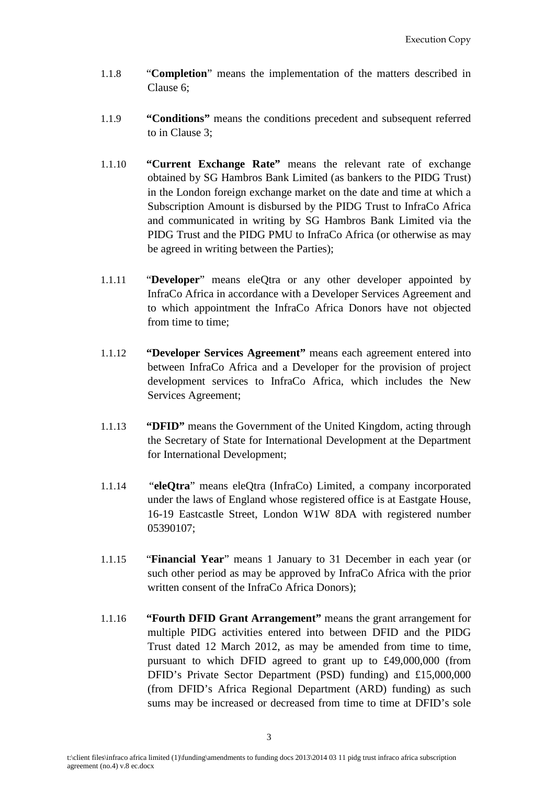- 1.1.8 "**Completion**" means the implementation of the matters described in Clause 6;
- 1.1.9 **"Conditions"** means the conditions precedent and subsequent referred to in Clause 3;
- 1.1.10 **"Current Exchange Rate"** means the relevant rate of exchange obtained by SG Hambros Bank Limited (as bankers to the PIDG Trust) in the London foreign exchange market on the date and time at which a Subscription Amount is disbursed by the PIDG Trust to InfraCo Africa and communicated in writing by SG Hambros Bank Limited via the PIDG Trust and the PIDG PMU to InfraCo Africa (or otherwise as may be agreed in writing between the Parties);
- 1.1.11 "**Developer**" means eleQtra or any other developer appointed by InfraCo Africa in accordance with a Developer Services Agreement and to which appointment the InfraCo Africa Donors have not objected from time to time;
- 1.1.12 **"Developer Services Agreement"** means each agreement entered into between InfraCo Africa and a Developer for the provision of project development services to InfraCo Africa, which includes the New Services Agreement;
- 1.1.13 **"DFID"** means the Government of the United Kingdom, acting through the Secretary of State for International Development at the Department for International Development;
- 1.1.14 "**eleQtra**" means eleQtra (InfraCo) Limited, a company incorporated under the laws of England whose registered office is at Eastgate House, 16-19 Eastcastle Street, London W1W 8DA with registered number 05390107;
- 1.1.15 "**Financial Year**" means 1 January to 31 December in each year (or such other period as may be approved by InfraCo Africa with the prior written consent of the InfraCo Africa Donors);
- 1.1.16 **"Fourth DFID Grant Arrangement"** means the grant arrangement for multiple PIDG activities entered into between DFID and the PIDG Trust dated 12 March 2012, as may be amended from time to time, pursuant to which DFID agreed to grant up to £49,000,000 (from DFID's Private Sector Department (PSD) funding) and £15,000,000 (from DFID's Africa Regional Department (ARD) funding) as such sums may be increased or decreased from time to time at DFID's sole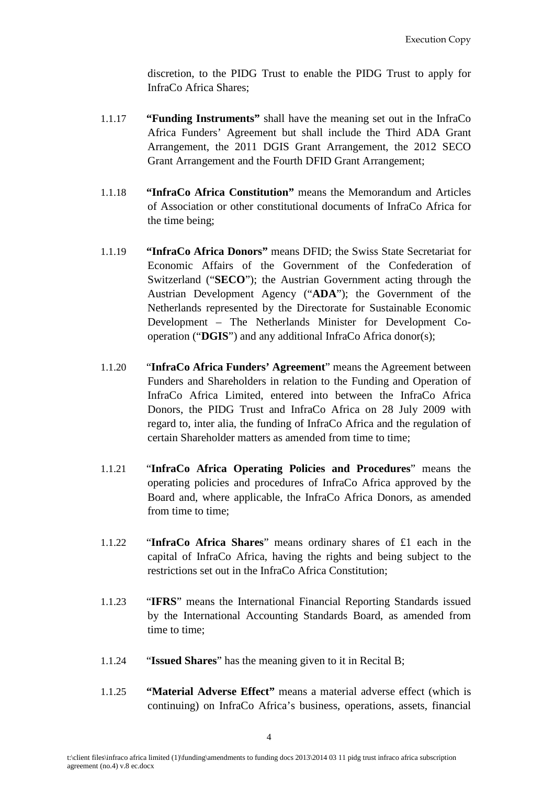discretion, to the PIDG Trust to enable the PIDG Trust to apply for InfraCo Africa Shares;

- 1.1.17 **"Funding Instruments"** shall have the meaning set out in the InfraCo Africa Funders' Agreement but shall include the Third ADA Grant Arrangement, the 2011 DGIS Grant Arrangement, the 2012 SECO Grant Arrangement and the Fourth DFID Grant Arrangement;
- 1.1.18 **"InfraCo Africa Constitution"** means the Memorandum and Articles of Association or other constitutional documents of InfraCo Africa for the time being;
- 1.1.19 **"InfraCo Africa Donors"** means DFID; the Swiss State Secretariat for Economic Affairs of the Government of the Confederation of Switzerland ("**SECO**"); the Austrian Government acting through the Austrian Development Agency ("**ADA**"); the Government of the Netherlands represented by the Directorate for Sustainable Economic Development – The Netherlands Minister for Development Cooperation ("**DGIS**") and any additional InfraCo Africa donor(s);
- 1.1.20 "**InfraCo Africa Funders' Agreement**" means the Agreement between Funders and Shareholders in relation to the Funding and Operation of InfraCo Africa Limited, entered into between the InfraCo Africa Donors, the PIDG Trust and InfraCo Africa on 28 July 2009 with regard to, inter alia, the funding of InfraCo Africa and the regulation of certain Shareholder matters as amended from time to time;
- 1.1.21 "**InfraCo Africa Operating Policies and Procedures**" means the operating policies and procedures of InfraCo Africa approved by the Board and, where applicable, the InfraCo Africa Donors, as amended from time to time;
- 1.1.22 "**InfraCo Africa Shares**" means ordinary shares of £1 each in the capital of InfraCo Africa, having the rights and being subject to the restrictions set out in the InfraCo Africa Constitution;
- 1.1.23 "**IFRS**" means the International Financial Reporting Standards issued by the International Accounting Standards Board, as amended from time to time;
- 1.1.24 "**Issued Shares**" has the meaning given to it in Recital B;
- 1.1.25 **"Material Adverse Effect"** means a material adverse effect (which is continuing) on InfraCo Africa's business, operations, assets, financial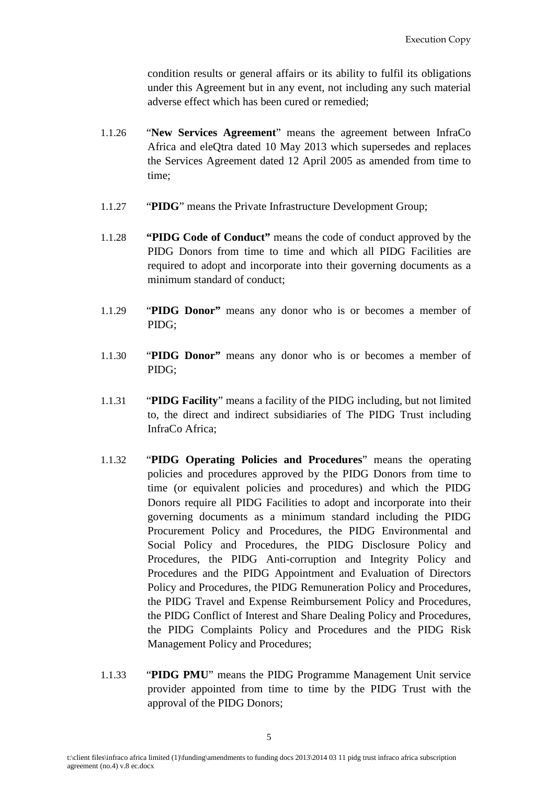condition results or general affairs or its ability to fulfil its obligations under this Agreement but in any event, not including any such material adverse effect which has been cured or remedied;

- 1.1.26 "**New Services Agreement**" means the agreement between InfraCo Africa and eleQtra dated 10 May 2013 which supersedes and replaces the Services Agreement dated 12 April 2005 as amended from time to time;
- 1.1.27 "**PIDG**" means the Private Infrastructure Development Group;
- 1.1.28 **"PIDG Code of Conduct"** means the code of conduct approved by the PIDG Donors from time to time and which all PIDG Facilities are required to adopt and incorporate into their governing documents as a minimum standard of conduct;
- 1.1.29 "**PIDG Donor"** means any donor who is or becomes a member of PIDG;
- 1.1.30 "**PIDG Donor"** means any donor who is or becomes a member of PIDG;
- 1.1.31 "**PIDG Facility**" means a facility of the PIDG including, but not limited to, the direct and indirect subsidiaries of The PIDG Trust including InfraCo Africa;
- 1.1.32 "**PIDG Operating Policies and Procedures**" means the operating policies and procedures approved by the PIDG Donors from time to time (or equivalent policies and procedures) and which the PIDG Donors require all PIDG Facilities to adopt and incorporate into their governing documents as a minimum standard including the PIDG Procurement Policy and Procedures, the PIDG Environmental and Social Policy and Procedures, the PIDG Disclosure Policy and Procedures, the PIDG Anti-corruption and Integrity Policy and Procedures and the PIDG Appointment and Evaluation of Directors Policy and Procedures, the PIDG Remuneration Policy and Procedures, the PIDG Travel and Expense Reimbursement Policy and Procedures, the PIDG Conflict of Interest and Share Dealing Policy and Procedures, the PIDG Complaints Policy and Procedures and the PIDG Risk Management Policy and Procedures;
- 1.1.33 "**PIDG PMU**" means the PIDG Programme Management Unit service provider appointed from time to time by the PIDG Trust with the approval of the PIDG Donors;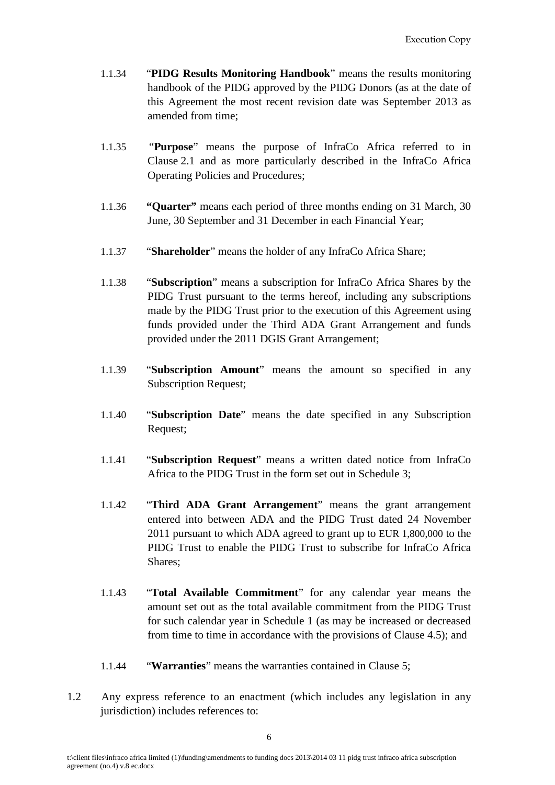- 1.1.34 "**PIDG Results Monitoring Handbook**" means the results monitoring handbook of the PIDG approved by the PIDG Donors (as at the date of this Agreement the most recent revision date was September 2013 as amended from time;
- 1.1.35 "**Purpose**" means the purpose of InfraCo Africa referred to in Clause [2.1](#page-9-1) and as more particularly described in the InfraCo Africa Operating Policies and Procedures;
- 1.1.36 **"Quarter"** means each period of three months ending on 31 March, 30 June, 30 September and 31 December in each Financial Year;
- 1.1.37 "**Shareholder**" means the holder of any InfraCo Africa Share;
- 1.1.38 "**Subscription**" means a subscription for InfraCo Africa Shares by the PIDG Trust pursuant to the terms hereof, including any subscriptions made by the PIDG Trust prior to the execution of this Agreement using funds provided under the Third ADA Grant Arrangement and funds provided under the 2011 DGIS Grant Arrangement;
- 1.1.39 "**Subscription Amount**" means the amount so specified in any Subscription Request;
- 1.1.40 "**Subscription Date**" means the date specified in any Subscription Request;
- 1.1.41 "**Subscription Request**" means a written dated notice from InfraCo Africa to the PIDG Trust in the form set out in Schedule 3;
- 1.1.42 "**Third ADA Grant Arrangement**" means the grant arrangement entered into between ADA and the PIDG Trust dated 24 November 2011 pursuant to which ADA agreed to grant up to EUR 1,800,000 to the PIDG Trust to enable the PIDG Trust to subscribe for InfraCo Africa Shares;
- 1.1.43 "**Total Available Commitment**" for any calendar year means the amount set out as the total available commitment from the PIDG Trust for such calendar year in Schedule 1 (as may be increased or decreased from time to time in accordance with the provisions of Clause 4.5); and
- 1.1.44 "**Warranties**" means the warranties contained in Clause 5;
- 1.2 Any express reference to an enactment (which includes any legislation in any jurisdiction) includes references to: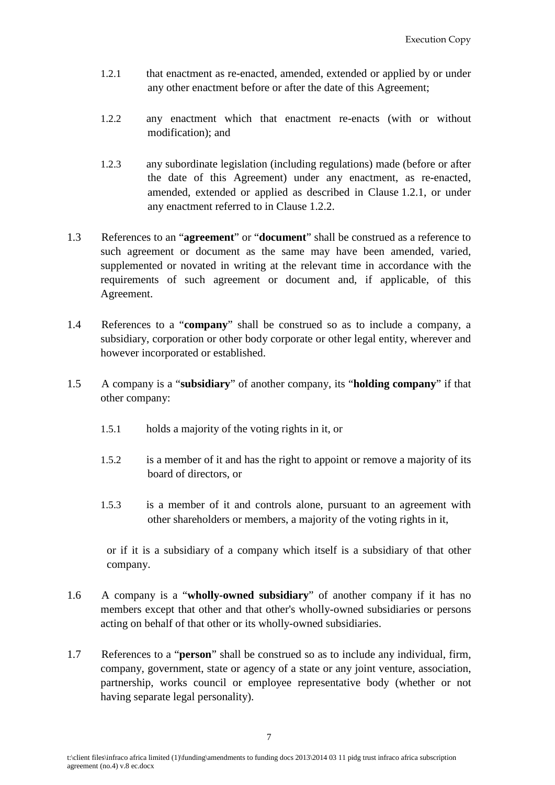- <span id="page-8-0"></span>1.2.1 that enactment as re-enacted, amended, extended or applied by or under any other enactment before or after the date of this Agreement;
- <span id="page-8-1"></span>1.2.2 any enactment which that enactment re-enacts (with or without modification); and
- 1.2.3 any subordinate legislation (including regulations) made (before or after the date of this Agreement) under any enactment, as re-enacted, amended, extended or applied as described in Clause [1.2.1,](#page-8-0) or under any enactment referred to in Clause [1.2.2.](#page-8-1)
- 1.3 References to an "**agreement**" or "**document**" shall be construed as a reference to such agreement or document as the same may have been amended, varied, supplemented or novated in writing at the relevant time in accordance with the requirements of such agreement or document and, if applicable, of this Agreement.
- 1.4 References to a "**company**" shall be construed so as to include a company, a subsidiary, corporation or other body corporate or other legal entity, wherever and however incorporated or established.
- 1.5 A company is a "**subsidiary**" of another company, its "**holding company**" if that other company:
	- 1.5.1 holds a majority of the voting rights in it, or
	- 1.5.2 is a member of it and has the right to appoint or remove a majority of its board of directors, or
	- 1.5.3 is a member of it and controls alone, pursuant to an agreement with other shareholders or members, a majority of the voting rights in it,

or if it is a subsidiary of a company which itself is a subsidiary of that other company.

- 1.6 A company is a "**wholly-owned subsidiary**" of another company if it has no members except that other and that other's wholly-owned subsidiaries or persons acting on behalf of that other or its wholly-owned subsidiaries.
- 1.7 References to a "**person**" shall be construed so as to include any individual, firm, company, government, state or agency of a state or any joint venture, association, partnership, works council or employee representative body (whether or not having separate legal personality).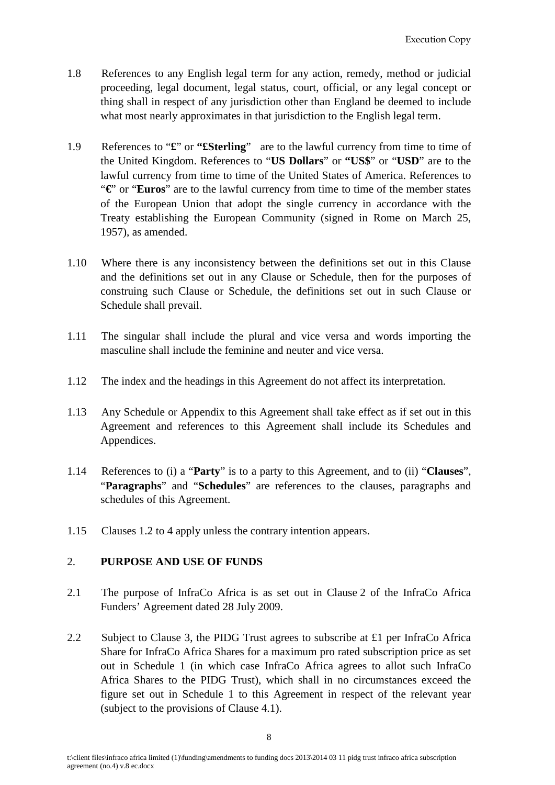- 1.8 References to any English legal term for any action, remedy, method or judicial proceeding, legal document, legal status, court, official, or any legal concept or thing shall in respect of any jurisdiction other than England be deemed to include what most nearly approximates in that jurisdiction to the English legal term.
- 1.9 References to "**£**" or **"£Sterling**" are to the lawful currency from time to time of the United Kingdom. References to "**US Dollars**" or **"US\$**" or "**USD**" are to the lawful currency from time to time of the United States of America. References to "**€**" or "**Euros**" are to the lawful currency from time to time of the member states of the European Union that adopt the single currency in accordance with the Treaty establishing the European Community (signed in Rome on March 25, 1957), as amended.
- 1.10 Where there is any inconsistency between the definitions set out in this Clause and the definitions set out in any Clause or Schedule, then for the purposes of construing such Clause or Schedule, the definitions set out in such Clause or Schedule shall prevail.
- 1.11 The singular shall include the plural and vice versa and words importing the masculine shall include the feminine and neuter and vice versa.
- 1.12 The index and the headings in this Agreement do not affect its interpretation.
- 1.13 Any Schedule or Appendix to this Agreement shall take effect as if set out in this Agreement and references to this Agreement shall include its Schedules and Appendices.
- 1.14 References to (i) a "**Party**" is to a party to this Agreement, and to (ii) "**Clauses**", "**Paragraphs**" and "**Schedules**" are references to the clauses, paragraphs and schedules of this Agreement.
- 1.15 Clauses 1.2 to 4 apply unless the contrary intention appears.

#### <span id="page-9-0"></span>2. **PURPOSE AND USE OF FUNDS**

- <span id="page-9-1"></span>2.1 The purpose of InfraCo Africa is as set out in Clause 2 of the InfraCo Africa Funders' Agreement dated 28 July 2009.
- 2.2 Subject to Clause 3, the PIDG Trust agrees to subscribe at £1 per InfraCo Africa Share for InfraCo Africa Shares for a maximum pro rated subscription price as set out in Schedule 1 (in which case InfraCo Africa agrees to allot such InfraCo Africa Shares to the PIDG Trust), which shall in no circumstances exceed the figure set out in Schedule 1 to this Agreement in respect of the relevant year (subject to the provisions of Clause 4.1).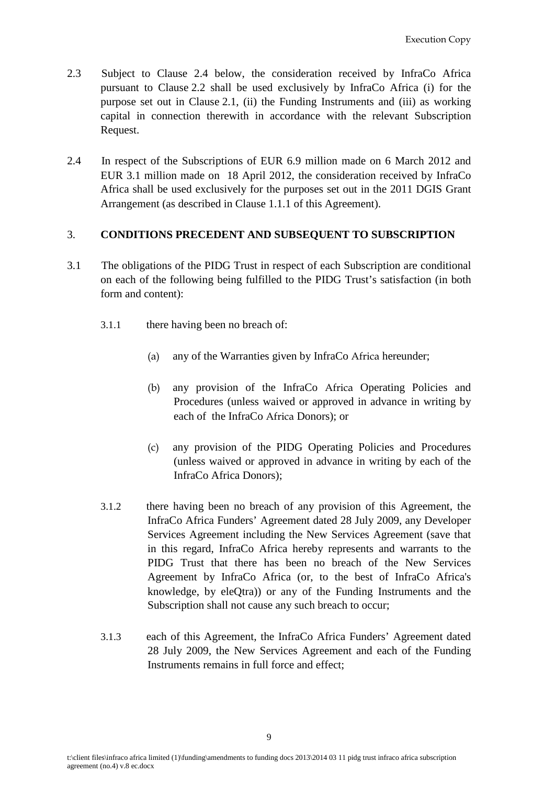- 2.3 Subject to Clause 2.4 below, the consideration received by InfraCo Africa pursuant to Clause 2.2 shall be used exclusively by InfraCo Africa (i) for the purpose set out in Clause [2.1,](#page-9-1) (ii) the Funding Instruments and (iii) as working capital in connection therewith in accordance with the relevant Subscription Request.
- 2.4 In respect of the Subscriptions of EUR 6.9 million made on 6 March 2012 and EUR 3.1 million made on 18 April 2012, the consideration received by InfraCo Africa shall be used exclusively for the purposes set out in the 2011 DGIS Grant Arrangement (as described in Clause 1.1.1 of this Agreement).

#### <span id="page-10-0"></span>3. **CONDITIONS PRECEDENT AND SUBSEQUENT TO SUBSCRIPTION**

- 3.1 The obligations of the PIDG Trust in respect of each Subscription are conditional on each of the following being fulfilled to the PIDG Trust's satisfaction (in both form and content):
	- 3.1.1 there having been no breach of:
		- (a) any of the Warranties given by InfraCo Africa hereunder;
		- (b) any provision of the InfraCo Africa Operating Policies and Procedures (unless waived or approved in advance in writing by each of the InfraCo Africa Donors); or
		- (c) any provision of the PIDG Operating Policies and Procedures (unless waived or approved in advance in writing by each of the InfraCo Africa Donors);
	- 3.1.2 there having been no breach of any provision of this Agreement, the InfraCo Africa Funders' Agreement dated 28 July 2009, any Developer Services Agreement including the New Services Agreement (save that in this regard, InfraCo Africa hereby represents and warrants to the PIDG Trust that there has been no breach of the New Services Agreement by InfraCo Africa (or, to the best of InfraCo Africa's knowledge, by eleQtra)) or any of the Funding Instruments and the Subscription shall not cause any such breach to occur;
	- 3.1.3 each of this Agreement, the InfraCo Africa Funders' Agreement dated 28 July 2009, the New Services Agreement and each of the Funding Instruments remains in full force and effect;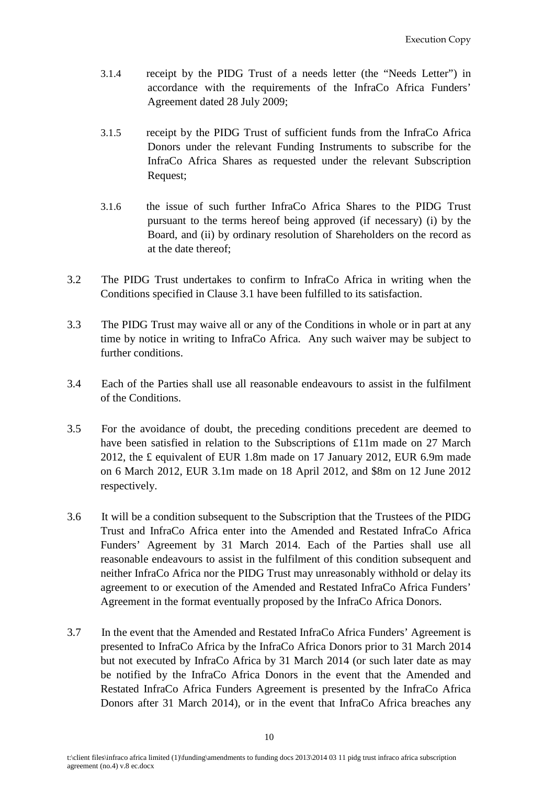- 3.1.4 receipt by the PIDG Trust of a needs letter (the "Needs Letter") in accordance with the requirements of the InfraCo Africa Funders' Agreement dated 28 July 2009;
- 3.1.5 receipt by the PIDG Trust of sufficient funds from the InfraCo Africa Donors under the relevant Funding Instruments to subscribe for the InfraCo Africa Shares as requested under the relevant Subscription Request;
- 3.1.6 the issue of such further InfraCo Africa Shares to the PIDG Trust pursuant to the terms hereof being approved (if necessary) (i) by the Board, and (ii) by ordinary resolution of Shareholders on the record as at the date thereof;
- 3.2 The PIDG Trust undertakes to confirm to InfraCo Africa in writing when the Conditions specified in Clause 3.1 have been fulfilled to its satisfaction.
- 3.3 The PIDG Trust may waive all or any of the Conditions in whole or in part at any time by notice in writing to InfraCo Africa. Any such waiver may be subject to further conditions.
- 3.4 Each of the Parties shall use all reasonable endeavours to assist in the fulfilment of the Conditions.
- 3.5 For the avoidance of doubt, the preceding conditions precedent are deemed to have been satisfied in relation to the Subscriptions of £11m made on 27 March 2012, the £ equivalent of EUR 1.8m made on 17 January 2012, EUR 6.9m made on 6 March 2012, EUR 3.1m made on 18 April 2012, and \$8m on 12 June 2012 respectively.
- 3.6 It will be a condition subsequent to the Subscription that the Trustees of the PIDG Trust and InfraCo Africa enter into the Amended and Restated InfraCo Africa Funders' Agreement by 31 March 2014. Each of the Parties shall use all reasonable endeavours to assist in the fulfilment of this condition subsequent and neither InfraCo Africa nor the PIDG Trust may unreasonably withhold or delay its agreement to or execution of the Amended and Restated InfraCo Africa Funders' Agreement in the format eventually proposed by the InfraCo Africa Donors.
- 3.7 In the event that the Amended and Restated InfraCo Africa Funders' Agreement is presented to InfraCo Africa by the InfraCo Africa Donors prior to 31 March 2014 but not executed by InfraCo Africa by 31 March 2014 (or such later date as may be notified by the InfraCo Africa Donors in the event that the Amended and Restated InfraCo Africa Funders Agreement is presented by the InfraCo Africa Donors after 31 March 2014), or in the event that InfraCo Africa breaches any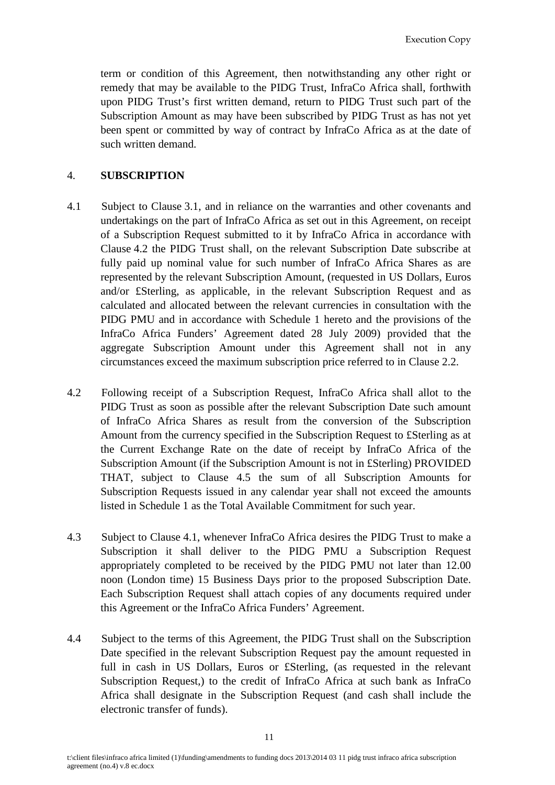term or condition of this Agreement, then notwithstanding any other right or remedy that may be available to the PIDG Trust, InfraCo Africa shall, forthwith upon PIDG Trust's first written demand, return to PIDG Trust such part of the Subscription Amount as may have been subscribed by PIDG Trust as has not yet been spent or committed by way of contract by InfraCo Africa as at the date of such written demand.

#### <span id="page-12-0"></span>4. **SUBSCRIPTION**

- 4.1 Subject to Clause 3.1, and in reliance on the warranties and other covenants and undertakings on the part of InfraCo Africa as set out in this Agreement, on receipt of a Subscription Request submitted to it by InfraCo Africa in accordance with Clause 4.2 the PIDG Trust shall, on the relevant Subscription Date subscribe at fully paid up nominal value for such number of InfraCo Africa Shares as are represented by the relevant Subscription Amount, (requested in US Dollars, Euros and/or £Sterling, as applicable, in the relevant Subscription Request and as calculated and allocated between the relevant currencies in consultation with the PIDG PMU and in accordance with Schedule 1 hereto and the provisions of the InfraCo Africa Funders' Agreement dated 28 July 2009) provided that the aggregate Subscription Amount under this Agreement shall not in any circumstances exceed the maximum subscription price referred to in Clause 2.2.
- 4.2 Following receipt of a Subscription Request, InfraCo Africa shall allot to the PIDG Trust as soon as possible after the relevant Subscription Date such amount of InfraCo Africa Shares as result from the conversion of the Subscription Amount from the currency specified in the Subscription Request to £Sterling as at the Current Exchange Rate on the date of receipt by InfraCo Africa of the Subscription Amount (if the Subscription Amount is not in £Sterling) PROVIDED THAT, subject to Clause 4.5 the sum of all Subscription Amounts for Subscription Requests issued in any calendar year shall not exceed the amounts listed in Schedule 1 as the Total Available Commitment for such year.
- 4.3 Subject to Clause 4.1, whenever InfraCo Africa desires the PIDG Trust to make a Subscription it shall deliver to the PIDG PMU a Subscription Request appropriately completed to be received by the PIDG PMU not later than 12.00 noon (London time) 15 Business Days prior to the proposed Subscription Date. Each Subscription Request shall attach copies of any documents required under this Agreement or the InfraCo Africa Funders' Agreement.
- 4.4 Subject to the terms of this Agreement, the PIDG Trust shall on the Subscription Date specified in the relevant Subscription Request pay the amount requested in full in cash in US Dollars, Euros or £Sterling, (as requested in the relevant Subscription Request,) to the credit of InfraCo Africa at such bank as InfraCo Africa shall designate in the Subscription Request (and cash shall include the electronic transfer of funds).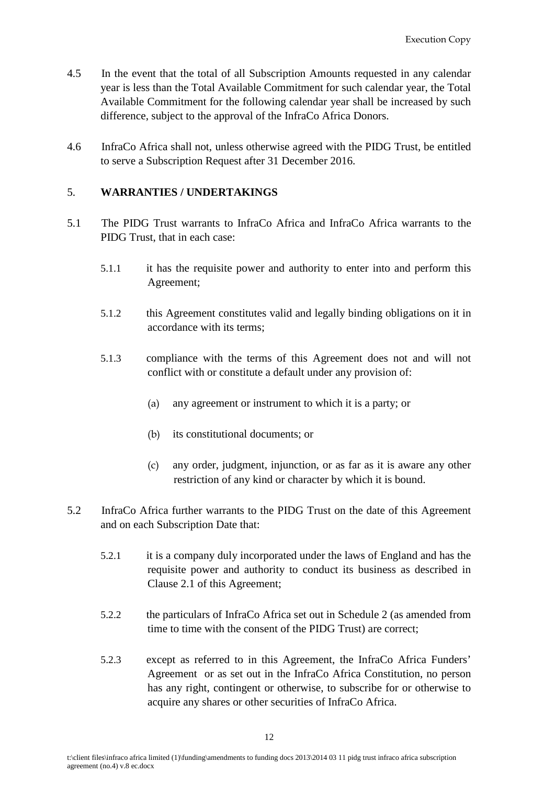- 4.5 In the event that the total of all Subscription Amounts requested in any calendar year is less than the Total Available Commitment for such calendar year, the Total Available Commitment for the following calendar year shall be increased by such difference, subject to the approval of the InfraCo Africa Donors.
- 4.6 InfraCo Africa shall not, unless otherwise agreed with the PIDG Trust, be entitled to serve a Subscription Request after 31 December 2016.

### <span id="page-13-0"></span>5. **WARRANTIES / UNDERTAKINGS**

- 5.1 The PIDG Trust warrants to InfraCo Africa and InfraCo Africa warrants to the PIDG Trust, that in each case:
	- 5.1.1 it has the requisite power and authority to enter into and perform this Agreement;
	- 5.1.2 this Agreement constitutes valid and legally binding obligations on it in accordance with its terms;
	- 5.1.3 compliance with the terms of this Agreement does not and will not conflict with or constitute a default under any provision of:
		- (a) any agreement or instrument to which it is a party; or
		- (b) its constitutional documents; or
		- (c) any order, judgment, injunction, or as far as it is aware any other restriction of any kind or character by which it is bound.
- 5.2 InfraCo Africa further warrants to the PIDG Trust on the date of this Agreement and on each Subscription Date that:
	- 5.2.1 it is a company duly incorporated under the laws of England and has the requisite power and authority to conduct its business as described in Clause [2.1](#page-9-1) of this Agreement;
	- 5.2.2 the particulars of InfraCo Africa set out in Schedule 2 (as amended from time to time with the consent of the PIDG Trust) are correct;
	- 5.2.3 except as referred to in this Agreement, the InfraCo Africa Funders' Agreement or as set out in the InfraCo Africa Constitution, no person has any right, contingent or otherwise, to subscribe for or otherwise to acquire any shares or other securities of InfraCo Africa.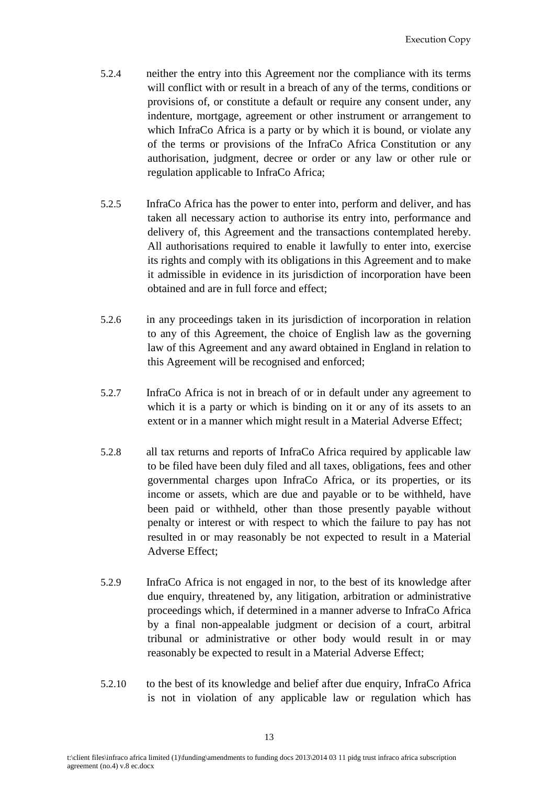- 5.2.4 neither the entry into this Agreement nor the compliance with its terms will conflict with or result in a breach of any of the terms, conditions or provisions of, or constitute a default or require any consent under, any indenture, mortgage, agreement or other instrument or arrangement to which InfraCo Africa is a party or by which it is bound, or violate any of the terms or provisions of the InfraCo Africa Constitution or any authorisation, judgment, decree or order or any law or other rule or regulation applicable to InfraCo Africa;
- 5.2.5 InfraCo Africa has the power to enter into, perform and deliver, and has taken all necessary action to authorise its entry into, performance and delivery of, this Agreement and the transactions contemplated hereby. All authorisations required to enable it lawfully to enter into, exercise its rights and comply with its obligations in this Agreement and to make it admissible in evidence in its jurisdiction of incorporation have been obtained and are in full force and effect;
- 5.2.6 in any proceedings taken in its jurisdiction of incorporation in relation to any of this Agreement, the choice of English law as the governing law of this Agreement and any award obtained in England in relation to this Agreement will be recognised and enforced;
- 5.2.7 InfraCo Africa is not in breach of or in default under any agreement to which it is a party or which is binding on it or any of its assets to an extent or in a manner which might result in a Material Adverse Effect;
- 5.2.8 all tax returns and reports of InfraCo Africa required by applicable law to be filed have been duly filed and all taxes, obligations, fees and other governmental charges upon InfraCo Africa, or its properties, or its income or assets, which are due and payable or to be withheld, have been paid or withheld, other than those presently payable without penalty or interest or with respect to which the failure to pay has not resulted in or may reasonably be not expected to result in a Material Adverse Effect;
- 5.2.9 InfraCo Africa is not engaged in nor, to the best of its knowledge after due enquiry, threatened by, any litigation, arbitration or administrative proceedings which, if determined in a manner adverse to InfraCo Africa by a final non-appealable judgment or decision of a court, arbitral tribunal or administrative or other body would result in or may reasonably be expected to result in a Material Adverse Effect;
- 5.2.10 to the best of its knowledge and belief after due enquiry, InfraCo Africa is not in violation of any applicable law or regulation which has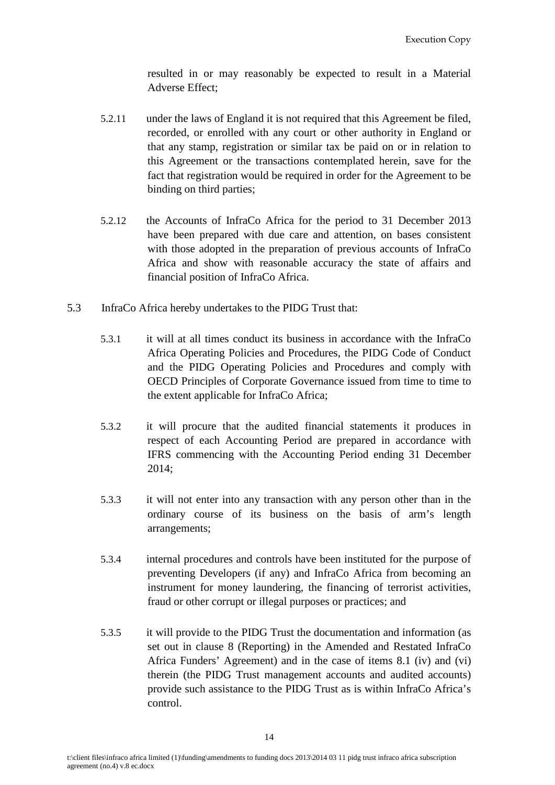resulted in or may reasonably be expected to result in a Material Adverse Effect;

- 5.2.11 under the laws of England it is not required that this Agreement be filed, recorded, or enrolled with any court or other authority in England or that any stamp, registration or similar tax be paid on or in relation to this Agreement or the transactions contemplated herein, save for the fact that registration would be required in order for the Agreement to be binding on third parties;
- 5.2.12 the Accounts of InfraCo Africa for the period to 31 December 2013 have been prepared with due care and attention, on bases consistent with those adopted in the preparation of previous accounts of InfraCo Africa and show with reasonable accuracy the state of affairs and financial position of InfraCo Africa.
- 5.3 InfraCo Africa hereby undertakes to the PIDG Trust that:
	- 5.3.1 it will at all times conduct its business in accordance with the InfraCo Africa Operating Policies and Procedures, the PIDG Code of Conduct and the PIDG Operating Policies and Procedures and comply with OECD Principles of Corporate Governance issued from time to time to the extent applicable for InfraCo Africa;
	- 5.3.2 it will procure that the audited financial statements it produces in respect of each Accounting Period are prepared in accordance with IFRS commencing with the Accounting Period ending 31 December 2014;
	- 5.3.3 it will not enter into any transaction with any person other than in the ordinary course of its business on the basis of arm's length arrangements;
	- 5.3.4 internal procedures and controls have been instituted for the purpose of preventing Developers (if any) and InfraCo Africa from becoming an instrument for money laundering, the financing of terrorist activities, fraud or other corrupt or illegal purposes or practices; and
	- 5.3.5 it will provide to the PIDG Trust the documentation and information (as set out in clause 8 (Reporting) in the Amended and Restated InfraCo Africa Funders' Agreement) and in the case of items 8.1 (iv) and (vi) therein (the PIDG Trust management accounts and audited accounts) provide such assistance to the PIDG Trust as is within InfraCo Africa's control.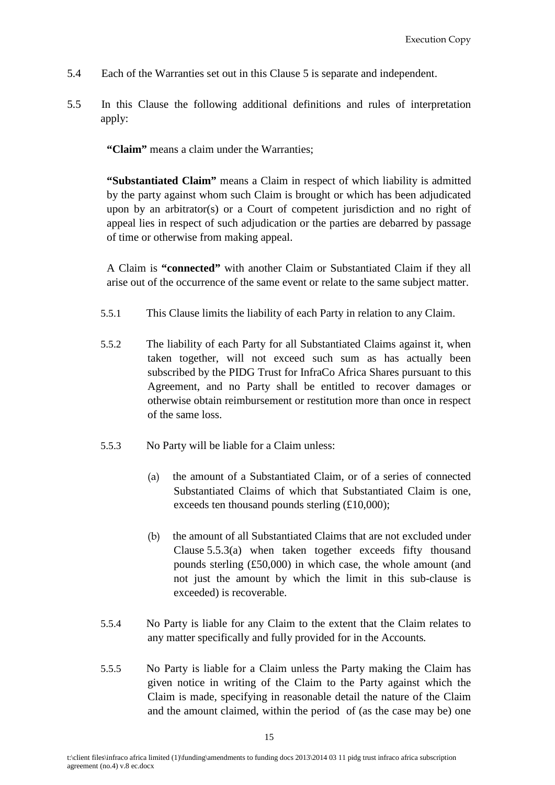- 5.4 Each of the Warranties set out in this Clause 5 is separate and independent.
- 5.5 In this Clause the following additional definitions and rules of interpretation apply:

**"Claim"** means a claim under the Warranties;

**"Substantiated Claim"** means a Claim in respect of which liability is admitted by the party against whom such Claim is brought or which has been adjudicated upon by an arbitrator(s) or a Court of competent jurisdiction and no right of appeal lies in respect of such adjudication or the parties are debarred by passage of time or otherwise from making appeal.

A Claim is **"connected"** with another Claim or Substantiated Claim if they all arise out of the occurrence of the same event or relate to the same subject matter.

- 5.5.1 This Clause limits the liability of each Party in relation to any Claim.
- 5.5.2 The liability of each Party for all Substantiated Claims against it, when taken together, will not exceed such sum as has actually been subscribed by the PIDG Trust for InfraCo Africa Shares pursuant to this Agreement, and no Party shall be entitled to recover damages or otherwise obtain reimbursement or restitution more than once in respect of the same loss.
- <span id="page-16-0"></span>5.5.3 No Party will be liable for a Claim unless:
	- (a) the amount of a Substantiated Claim, or of a series of connected Substantiated Claims of which that Substantiated Claim is one, exceeds ten thousand pounds sterling (£10,000);
	- (b) the amount of all Substantiated Claims that are not excluded under Clause 5.5.[3\(a\)](#page-16-0) when taken together exceeds fifty thousand pounds sterling (£50,000) in which case, the whole amount (and not just the amount by which the limit in this sub-clause is exceeded) is recoverable.
- 5.5.4 No Party is liable for any Claim to the extent that the Claim relates to any matter specifically and fully provided for in the Accounts*.*
- 5.5.5 No Party is liable for a Claim unless the Party making the Claim has given notice in writing of the Claim to the Party against which the Claim is made, specifying in reasonable detail the nature of the Claim and the amount claimed, within the period of (as the case may be) one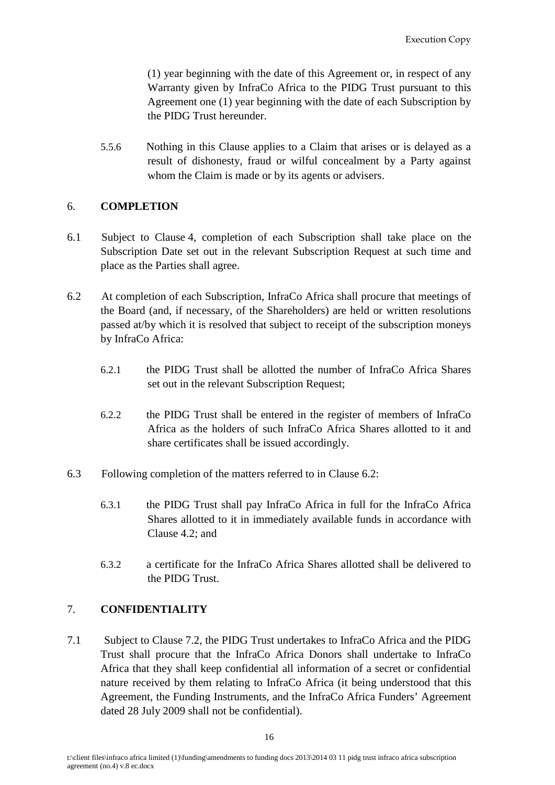(1) year beginning with the date of this Agreement or, in respect of any Warranty given by InfraCo Africa to the PIDG Trust pursuant to this Agreement one (1) year beginning with the date of each Subscription by the PIDG Trust hereunder.

5.5.6 Nothing in this Clause applies to a Claim that arises or is delayed as a result of dishonesty, fraud or wilful concealment by a Party against whom the Claim is made or by its agents or advisers.

### <span id="page-17-0"></span>6. **COMPLETION**

- 6.1 Subject to Clause 4, completion of each Subscription shall take place on the Subscription Date set out in the relevant Subscription Request at such time and place as the Parties shall agree.
- 6.2 At completion of each Subscription, InfraCo Africa shall procure that meetings of the Board (and, if necessary, of the Shareholders) are held or written resolutions passed at/by which it is resolved that subject to receipt of the subscription moneys by InfraCo Africa:
	- 6.2.1 the PIDG Trust shall be allotted the number of InfraCo Africa Shares set out in the relevant Subscription Request;
	- 6.2.2 the PIDG Trust shall be entered in the register of members of InfraCo Africa as the holders of such InfraCo Africa Shares allotted to it and share certificates shall be issued accordingly.
- 6.3 Following completion of the matters referred to in Clause 6.2:
	- 6.3.1 the PIDG Trust shall pay InfraCo Africa in full for the InfraCo Africa Shares allotted to it in immediately available funds in accordance with Clause 4.2; and
	- 6.3.2 a certificate for the InfraCo Africa Shares allotted shall be delivered to the PIDG Trust.

# <span id="page-17-1"></span>7. **CONFIDENTIALITY**

7.1 Subject to Clause 7.2, the PIDG Trust undertakes to InfraCo Africa and the PIDG Trust shall procure that the InfraCo Africa Donors shall undertake to InfraCo Africa that they shall keep confidential all information of a secret or confidential nature received by them relating to InfraCo Africa (it being understood that this Agreement, the Funding Instruments, and the InfraCo Africa Funders' Agreement dated 28 July 2009 shall not be confidential).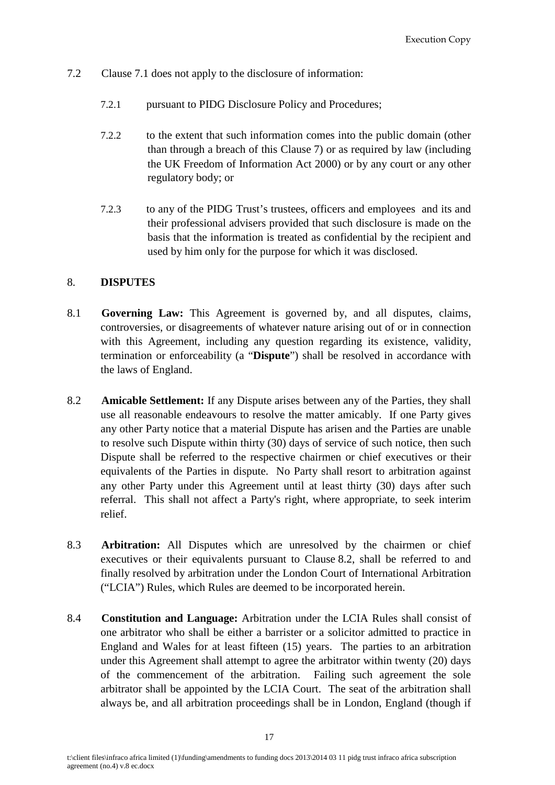- 7.2 Clause 7.1 does not apply to the disclosure of information:
	- 7.2.1 pursuant to PIDG Disclosure Policy and Procedures;
	- 7.2.2 to the extent that such information comes into the public domain (other than through a breach of this Clause 7) or as required by law (including the UK Freedom of Information Act 2000) or by any court or any other regulatory body; or
	- 7.2.3 to any of the PIDG Trust's trustees, officers and employees and its and their professional advisers provided that such disclosure is made on the basis that the information is treated as confidential by the recipient and used by him only for the purpose for which it was disclosed.

### <span id="page-18-0"></span>8. **DISPUTES**

- 8.1 **Governing Law:** This Agreement is governed by, and all disputes, claims, controversies, or disagreements of whatever nature arising out of or in connection with this Agreement, including any question regarding its existence, validity, termination or enforceability (a "**Dispute**") shall be resolved in accordance with the laws of England.
- <span id="page-18-1"></span>8.2 **Amicable Settlement:** If any Dispute arises between any of the Parties, they shall use all reasonable endeavours to resolve the matter amicably. If one Party gives any other Party notice that a material Dispute has arisen and the Parties are unable to resolve such Dispute within thirty (30) days of service of such notice, then such Dispute shall be referred to the respective chairmen or chief executives or their equivalents of the Parties in dispute. No Party shall resort to arbitration against any other Party under this Agreement until at least thirty (30) days after such referral. This shall not affect a Party's right, where appropriate, to seek interim relief.
- <span id="page-18-2"></span>8.3 **Arbitration:** All Disputes which are unresolved by the chairmen or chief executives or their equivalents pursuant to Clause [8.2,](#page-18-1) shall be referred to and finally resolved by arbitration under the London Court of International Arbitration ("LCIA") Rules, which Rules are deemed to be incorporated herein.
- 8.4 **Constitution and Language:** Arbitration under the LCIA Rules shall consist of one arbitrator who shall be either a barrister or a solicitor admitted to practice in England and Wales for at least fifteen (15) years. The parties to an arbitration under this Agreement shall attempt to agree the arbitrator within twenty (20) days of the commencement of the arbitration. Failing such agreement the sole arbitrator shall be appointed by the LCIA Court. The seat of the arbitration shall always be, and all arbitration proceedings shall be in London, England (though if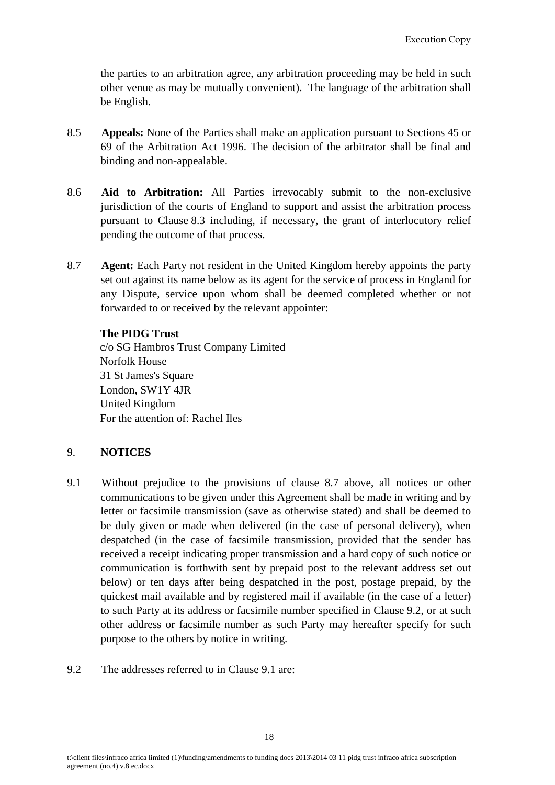the parties to an arbitration agree, any arbitration proceeding may be held in such other venue as may be mutually convenient). The language of the arbitration shall be English.

- 8.5 **Appeals:** None of the Parties shall make an application pursuant to Sections 45 or 69 of the Arbitration Act 1996. The decision of the arbitrator shall be final and binding and non-appealable.
- 8.6 **Aid to Arbitration:** All Parties irrevocably submit to the non-exclusive jurisdiction of the courts of England to support and assist the arbitration process pursuant to Clause [8.3](#page-18-2) including, if necessary, the grant of interlocutory relief pending the outcome of that process.
- 8.7 **Agent:** Each Party not resident in the United Kingdom hereby appoints the party set out against its name below as its agent for the service of process in England for any Dispute, service upon whom shall be deemed completed whether or not forwarded to or received by the relevant appointer:

### **The PIDG Trust**

c/o SG Hambros Trust Company Limited Norfolk House 31 St James's Square London, SW1Y 4JR United Kingdom For the attention of: Rachel Iles

### <span id="page-19-0"></span>9. **NOTICES**

- 9.1 Without prejudice to the provisions of clause 8.7 above, all notices or other communications to be given under this Agreement shall be made in writing and by letter or facsimile transmission (save as otherwise stated) and shall be deemed to be duly given or made when delivered (in the case of personal delivery), when despatched (in the case of facsimile transmission, provided that the sender has received a receipt indicating proper transmission and a hard copy of such notice or communication is forthwith sent by prepaid post to the relevant address set out below) or ten days after being despatched in the post, postage prepaid, by the quickest mail available and by registered mail if available (in the case of a letter) to such Party at its address or facsimile number specified in Clause [9.2,](#page-19-1) or at such other address or facsimile number as such Party may hereafter specify for such purpose to the others by notice in writing.
- <span id="page-19-1"></span>9.2 The addresses referred to in Clause 9.1 are: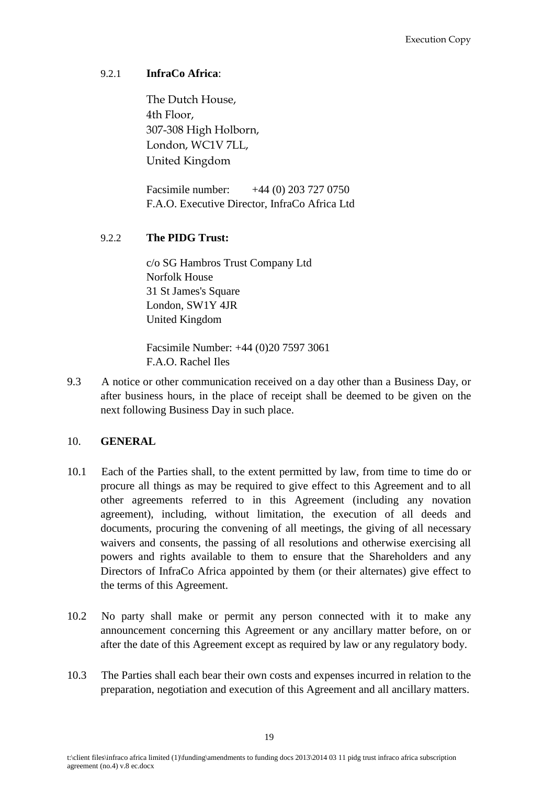# 9.2.1 **InfraCo Africa**:

The Dutch House, 4th Floor, 307-308 High Holborn, London, WC1V 7LL, United Kingdom

Facsimile number: +44 (0) 203 727 0750 F.A.O. Executive Director, InfraCo Africa Ltd

# 9.2.2 **The PIDG Trust:**

c/o SG Hambros Trust Company Ltd Norfolk House 31 St James's Square London, SW1Y 4JR United Kingdom

Facsimile Number: +44 (0)20 7597 3061 F.A.O. Rachel Iles

9.3 A notice or other communication received on a day other than a Business Day, or after business hours, in the place of receipt shall be deemed to be given on the next following Business Day in such place.

### <span id="page-20-0"></span>10. **GENERAL**

- 10.1 Each of the Parties shall, to the extent permitted by law, from time to time do or procure all things as may be required to give effect to this Agreement and to all other agreements referred to in this Agreement (including any novation agreement), including, without limitation, the execution of all deeds and documents, procuring the convening of all meetings, the giving of all necessary waivers and consents, the passing of all resolutions and otherwise exercising all powers and rights available to them to ensure that the Shareholders and any Directors of InfraCo Africa appointed by them (or their alternates) give effect to the terms of this Agreement.
- 10.2 No party shall make or permit any person connected with it to make any announcement concerning this Agreement or any ancillary matter before, on or after the date of this Agreement except as required by law or any regulatory body.
- 10.3 The Parties shall each bear their own costs and expenses incurred in relation to the preparation, negotiation and execution of this Agreement and all ancillary matters.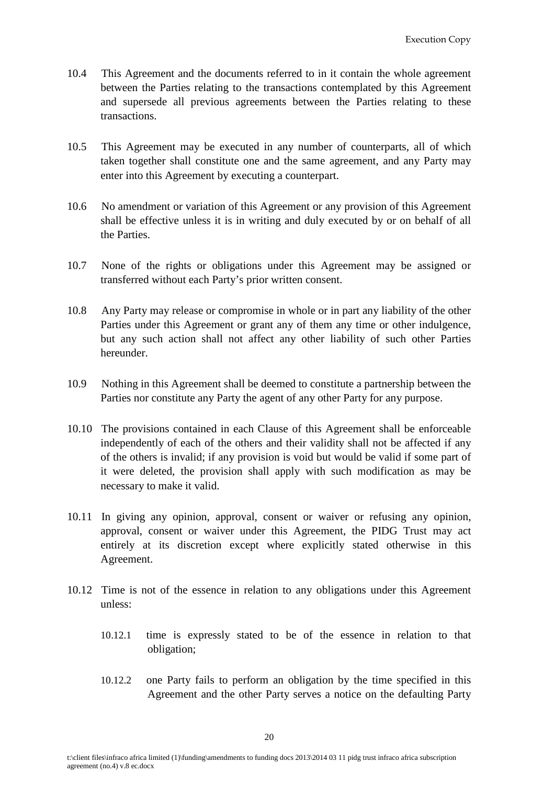- 10.4 This Agreement and the documents referred to in it contain the whole agreement between the Parties relating to the transactions contemplated by this Agreement and supersede all previous agreements between the Parties relating to these transactions.
- 10.5 This Agreement may be executed in any number of counterparts, all of which taken together shall constitute one and the same agreement, and any Party may enter into this Agreement by executing a counterpart.
- 10.6 No amendment or variation of this Agreement or any provision of this Agreement shall be effective unless it is in writing and duly executed by or on behalf of all the Parties.
- 10.7 None of the rights or obligations under this Agreement may be assigned or transferred without each Party's prior written consent.
- 10.8 Any Party may release or compromise in whole or in part any liability of the other Parties under this Agreement or grant any of them any time or other indulgence, but any such action shall not affect any other liability of such other Parties hereunder.
- 10.9 Nothing in this Agreement shall be deemed to constitute a partnership between the Parties nor constitute any Party the agent of any other Party for any purpose.
- 10.10 The provisions contained in each Clause of this Agreement shall be enforceable independently of each of the others and their validity shall not be affected if any of the others is invalid; if any provision is void but would be valid if some part of it were deleted, the provision shall apply with such modification as may be necessary to make it valid.
- 10.11 In giving any opinion, approval, consent or waiver or refusing any opinion, approval, consent or waiver under this Agreement, the PIDG Trust may act entirely at its discretion except where explicitly stated otherwise in this Agreement.
- 10.12 Time is not of the essence in relation to any obligations under this Agreement unless:
	- 10.12.1 time is expressly stated to be of the essence in relation to that obligation;
	- 10.12.2 one Party fails to perform an obligation by the time specified in this Agreement and the other Party serves a notice on the defaulting Party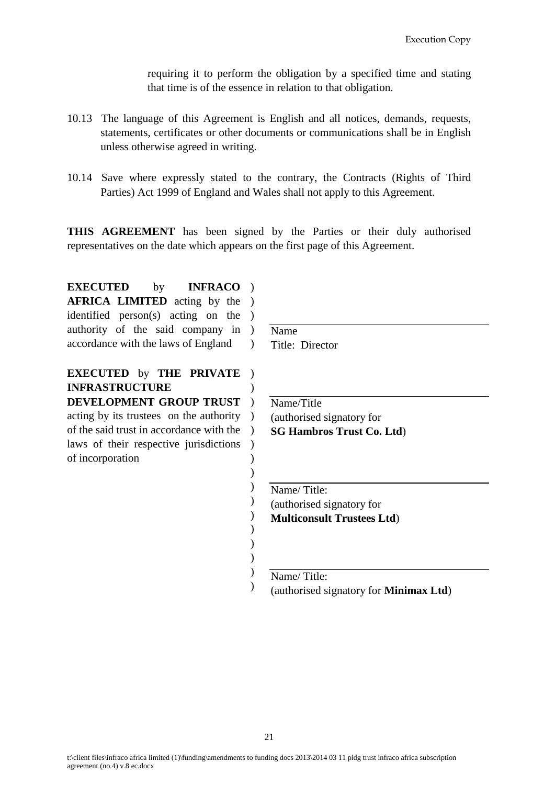requiring it to perform the obligation by a specified time and stating that time is of the essence in relation to that obligation.

- 10.13 The language of this Agreement is English and all notices, demands, requests, statements, certificates or other documents or communications shall be in English unless otherwise agreed in writing.
- 10.14 Save where expressly stated to the contrary, the Contracts (Rights of Third Parties) Act 1999 of England and Wales shall not apply to this Agreement.

**THIS AGREEMENT** has been signed by the Parties or their duly authorised representatives on the date which appears on the first page of this Agreement.

> ) ) ) ) ) ) ) ) )

**EXECUTED** by **AFRICA LIMITED** acting by the ) identified person(s) acting on the ) authority of the said company in ) accordance with the laws of England INFRACO ) )

**EXECUTED** by **THE PRIVATE**  ) **INFRASTRUCTURE DEVELOPMENT GROUP TRUST** ) acting by its trustees on the authority ) of the said trust in accordance with the ) laws of their respective jurisdictions of incorporation ) ) ) Name Title: Director

Name/Title (authorised signatory for **SG Hambros Trust Co. Ltd**)

Name/ Title: (authorised signatory for **Multiconsult Trustees Ltd**)

Name/ Title:

(authorised signatory for **Minimax Ltd**)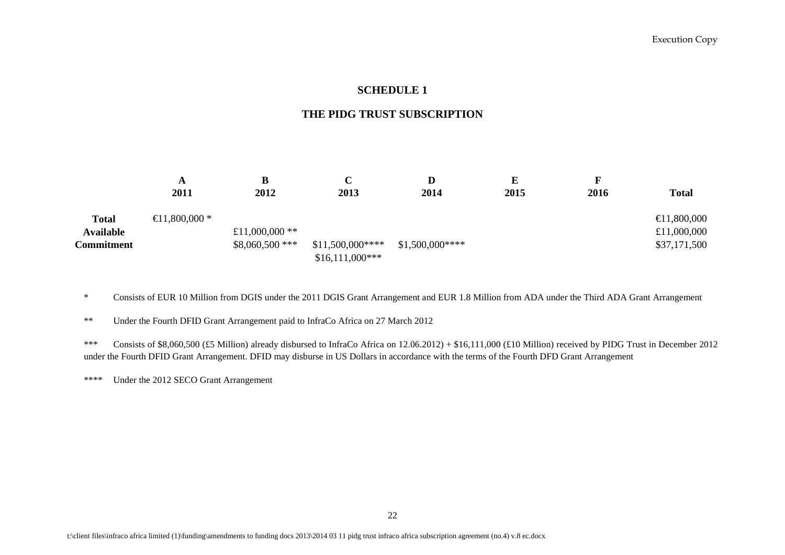#### **SCHEDULE 1**

#### **THE PIDG TRUST SUBSCRIPTION**

|                   | A                         | B                | C                                    | D               | E    |      |                       |
|-------------------|---------------------------|------------------|--------------------------------------|-----------------|------|------|-----------------------|
|                   | 2011                      | 2012             | 2013                                 | 2014            | 2015 | 2016 | <b>Total</b>          |
| <b>Total</b>      | $\bigoplus$ 1,800,000 $*$ |                  |                                      |                 |      |      | $\bigoplus$ 1,800,000 |
| <b>Available</b>  |                           | £11,000,000 $**$ |                                      |                 |      |      | £11,000,000           |
| <b>Commitment</b> |                           | $$8,060,500$ *** | $$11,500,000***$<br>$$16,111,000***$ | $$1,500,000***$ |      |      | \$37,171,500          |

\* Consists of EUR 10 Million from DGIS under the 2011 DGIS Grant Arrangement and EUR 1.8 Million from ADA under the Third ADA Grant Arrangement

<span id="page-23-0"></span>\*\* Under the Fourth DFID Grant Arrangement paid to InfraCo Africa on 27 March 2012

\*\*\* Consists of \$8,060,500 (£5 Million) already disbursed to InfraCo Africa on 12.06.2012) + \$16,111,000 (£10 Million) received by PIDG Trust in December 2012 under the Fourth DFID Grant Arrangement. DFID may disburse in US Dollars in accordance with the terms of the Fourth DFD Grant Arrangement

\*\*\*\* Under the 2012 SECO Grant Arrangement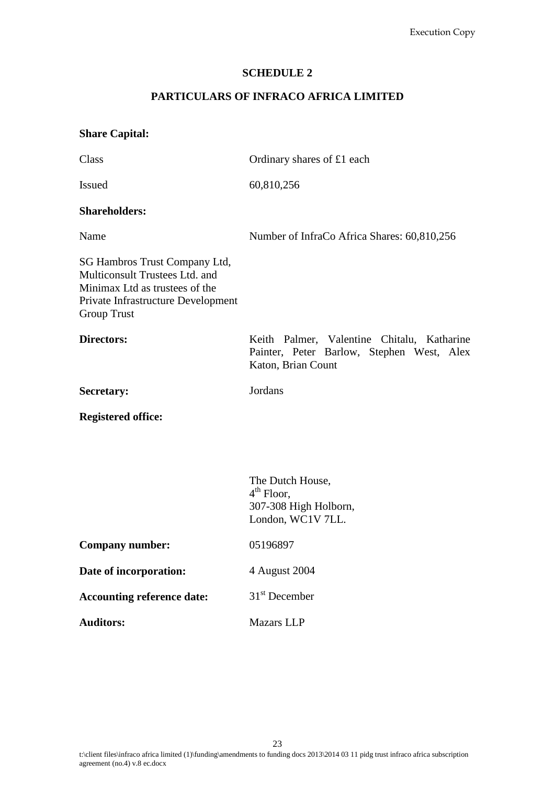#### **SCHEDULE 2**

# **PARTICULARS OF INFRACO AFRICA LIMITED**

# <span id="page-24-0"></span>**Share Capital:**

| Class                                                                                                                                                         | Ordinary shares of £1 each                                                                                    |  |  |  |  |
|---------------------------------------------------------------------------------------------------------------------------------------------------------------|---------------------------------------------------------------------------------------------------------------|--|--|--|--|
| <b>Issued</b>                                                                                                                                                 | 60,810,256                                                                                                    |  |  |  |  |
| <b>Shareholders:</b>                                                                                                                                          |                                                                                                               |  |  |  |  |
| Name                                                                                                                                                          | Number of InfraCo Africa Shares: 60,810,256                                                                   |  |  |  |  |
| SG Hambros Trust Company Ltd,<br>Multiconsult Trustees Ltd. and<br>Minimax Ltd as trustees of the<br>Private Infrastructure Development<br><b>Group Trust</b> |                                                                                                               |  |  |  |  |
| <b>Directors:</b>                                                                                                                                             | Keith Palmer, Valentine Chitalu, Katharine<br>Painter, Peter Barlow, Stephen West, Alex<br>Katon, Brian Count |  |  |  |  |
| <b>Secretary:</b>                                                                                                                                             | Jordans                                                                                                       |  |  |  |  |
| <b>Registered office:</b>                                                                                                                                     |                                                                                                               |  |  |  |  |
|                                                                                                                                                               |                                                                                                               |  |  |  |  |
|                                                                                                                                                               | The Dutch House,<br>$4th$ Floor,<br>307-308 High Holborn,<br>London, WC1V 7LL.                                |  |  |  |  |
| <b>Company number:</b>                                                                                                                                        | 05196897                                                                                                      |  |  |  |  |
| Date of incorporation:                                                                                                                                        | 4 August 2004                                                                                                 |  |  |  |  |
| <b>Accounting reference date:</b>                                                                                                                             | $31st$ December                                                                                               |  |  |  |  |
| <b>Auditors:</b>                                                                                                                                              | Mazars LLP                                                                                                    |  |  |  |  |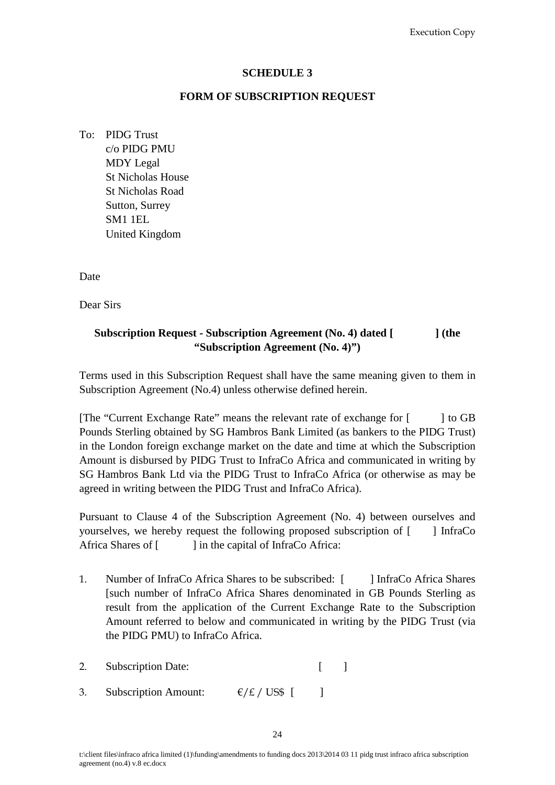#### **SCHEDULE 3**

#### **FORM OF SUBSCRIPTION REQUEST**

- <span id="page-25-0"></span>To: PIDG Trust
	- c/o PIDG PMU MDY Legal St Nicholas House St Nicholas Road Sutton, Surrey SM1 1EL United Kingdom

Date

Dear Sirs

# **Subscription Request - Subscription Agreement (No. 4) dated [ ] (the "Subscription Agreement (No. 4)")**

Terms used in this Subscription Request shall have the same meaning given to them in Subscription Agreement (No.4) unless otherwise defined herein.

[The "Current Exchange Rate" means the relevant rate of exchange for [ ] to GB Pounds Sterling obtained by SG Hambros Bank Limited (as bankers to the PIDG Trust) in the London foreign exchange market on the date and time at which the Subscription Amount is disbursed by PIDG Trust to InfraCo Africa and communicated in writing by SG Hambros Bank Ltd via the PIDG Trust to InfraCo Africa (or otherwise as may be agreed in writing between the PIDG Trust and InfraCo Africa).

Pursuant to Clause 4 of the Subscription Agreement (No. 4) between ourselves and yourselves, we hereby request the following proposed subscription of [ ] InfraCo Africa Shares of [ ] in the capital of InfraCo Africa:

- 1. Number of InfraCo Africa Shares to be subscribed: [ ] InfraCo Africa Shares [such number of InfraCo Africa Shares denominated in GB Pounds Sterling as result from the application of the Current Exchange Rate to the Subscription Amount referred to below and communicated in writing by the PIDG Trust (via the PIDG PMU) to InfraCo Africa.
- 2. Subscription Date: [ ]
- 3. Subscription Amount:  $\epsilon / \epsilon / \text{US$}$  [ ]